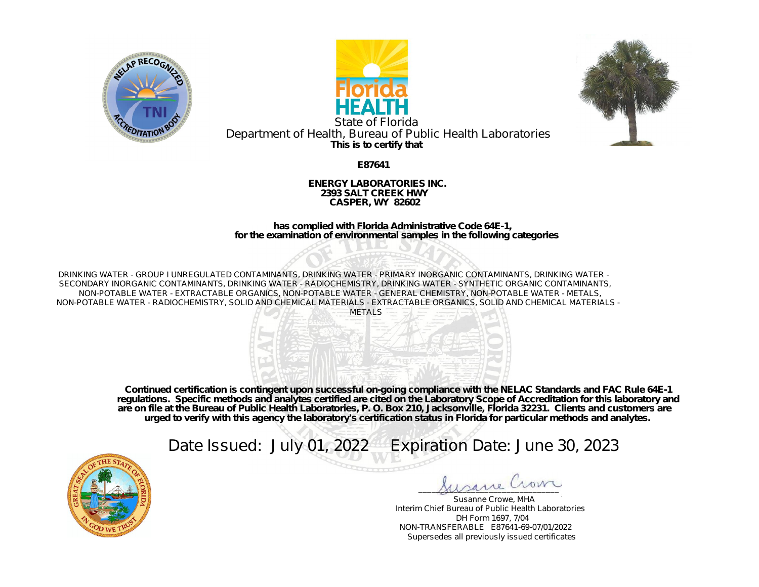





**This is to certify that** State of Florida Department of Health, Bureau of Public Health Laboratories

**E87641**

**ENERGY LABORATORIES INC. 2393 SALT CREEK HWY CASPER, WY 82602**

**has complied with Florida Administrative Code 64E-1, for the examination of environmental samples in the following categories**

DRINKING WATER - GROUP I UNREGULATED CONTAMINANTS, DRINKING WATER - PRIMARY INORGANIC CONTAMINANTS, DRINKING WATER - SECONDARY INORGANIC CONTAMINANTS, DRINKING WATER - RADIOCHEMISTRY, DRINKING WATER - SYNTHETIC ORGANIC CONTAMINANTS, NON-POTABLE WATER - EXTRACTABLE ORGANICS, NON-POTABLE WATER - GENERAL CHEMISTRY, NON-POTABLE WATER - METALS, NON-POTABLE WATER - RADIOCHEMISTRY, SOLID AND CHEMICAL MATERIALS - EXTRACTABLE ORGANICS, SOLID AND CHEMICAL MATERIALS -



**Continued certification is contingent upon successful on-going compliance with the NELAC Standards and FAC Rule 64E-1 regulations. Specific methods and analytes certified are cited on the Laboratory Scope of Accreditation for this laboratory and are on file at the Bureau of Public Health Laboratories, P. O. Box 210, Jacksonville, Florida 32231. Clients and customers are urged to verify with this agency the laboratory's certification status in Florida for particular methods and analytes.**

Date Issued: July 01, 2022 Expiration Date: June 30, 2023



\_\_\_\_\_\_\_\_\_\_\_\_\_\_\_\_\_\_\_\_\_\_\_\_\_\_\_\_\_\_\_\_

Susanne Crowe, MHA Interim Chief Bureau of Public Health Laboratories DH Form 1697, 7/04 NON-TRANSFERABLE E87641-69-07/01/2022 Supersedes all previously issued certificates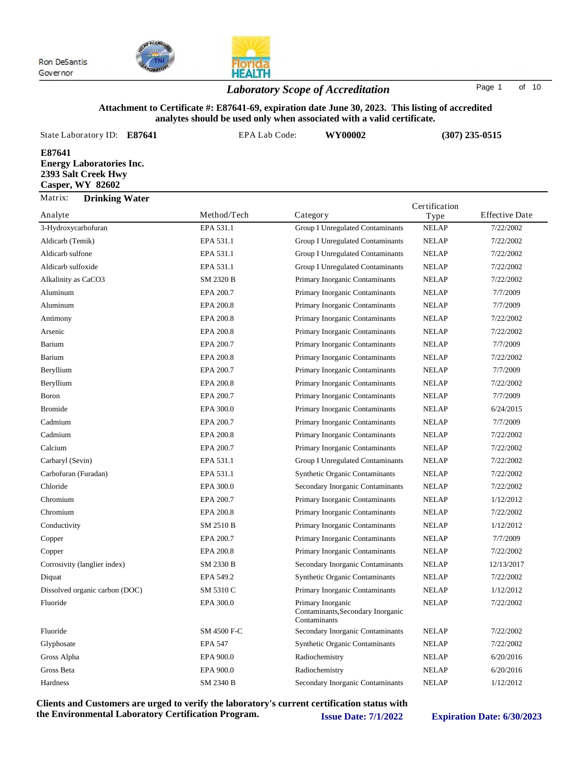

## *Laboratory Scope of Accreditation* Page <sup>1</sup> of <sup>10</sup>

#### **Attachment to Certificate #: E87641-69, expiration date June 30, 2023. This listing of accredited analytes should be used only when associated with a valid certificate.**

| State Laboratory ID:<br>E87641                                                              | EPA Lab Code: | WY00002                          |                       | $(307)$ 235-0515      |
|---------------------------------------------------------------------------------------------|---------------|----------------------------------|-----------------------|-----------------------|
| E87641<br><b>Energy Laboratories Inc.</b><br>2393 Salt Creek Hwy<br><b>Casper, WY 82602</b> |               |                                  |                       |                       |
| Matrix:<br><b>Drinking Water</b><br>Analyte                                                 | Method/Tech   | Category                         | Certification<br>Type | <b>Effective Date</b> |
| 3-Hydroxycarbofuran                                                                         | EPA 531.1     | Group I Unregulated Contaminants | <b>NELAP</b>          | 7/22/2002             |
| Aldicarb (Temik)                                                                            | EPA 531.1     | Group I Unregulated Contaminants | <b>NELAP</b>          | 7/22/2002             |
| Aldicarb sulfone                                                                            | EPA 531.1     | Group I Unregulated Contaminants | <b>NELAP</b>          | 7/22/2002             |
| Aldicarb sulfoxide                                                                          | EPA 531.1     | Group I Unregulated Contaminants | <b>NELAP</b>          | 7/22/2002             |
| Alkalinity as CaCO3                                                                         | SM 2320 B     | Primary Inorganic Contaminants   | <b>NELAP</b>          | 7/22/2002             |
| Aluminum                                                                                    | EPA 200.7     | Primary Inorganic Contaminants   | <b>NELAP</b>          | 7/7/2009              |
| Aluminum                                                                                    | EPA 200.8     | Primary Inorganic Contaminants   | <b>NELAP</b>          | 7/7/2009              |
| Antimony                                                                                    | EPA 200.8     | Primary Inorganic Contaminants   | <b>NELAP</b>          | 7/22/2002             |
| Arsenic                                                                                     | EPA 200.8     | Primary Inorganic Contaminants   | <b>NELAP</b>          | 7/22/2002             |

| Aldicarb sulfone               | EPA 531.1      | Group I Unregulated Contaminants                                       | <b>NELAP</b> | 7/22/2002  |
|--------------------------------|----------------|------------------------------------------------------------------------|--------------|------------|
| Aldicarb sulfoxide             | EPA 531.1      | Group I Unregulated Contaminants                                       | <b>NELAP</b> | 7/22/2002  |
| Alkalinity as CaCO3            | SM 2320 B      | Primary Inorganic Contaminants                                         | <b>NELAP</b> | 7/22/2002  |
| Aluminum                       | EPA 200.7      | Primary Inorganic Contaminants                                         | <b>NELAP</b> | 7/7/2009   |
| Aluminum                       | EPA 200.8      | Primary Inorganic Contaminants                                         | NELAP        | 7/7/2009   |
| Antimony                       | EPA 200.8      | Primary Inorganic Contaminants                                         | <b>NELAP</b> | 7/22/2002  |
| Arsenic                        | EPA 200.8      | Primary Inorganic Contaminants                                         | <b>NELAP</b> | 7/22/2002  |
| <b>Barium</b>                  | EPA 200.7      | Primary Inorganic Contaminants                                         | <b>NELAP</b> | 7/7/2009   |
| Barium                         | EPA 200.8      | Primary Inorganic Contaminants                                         | <b>NELAP</b> | 7/22/2002  |
| Beryllium                      | EPA 200.7      | Primary Inorganic Contaminants                                         | <b>NELAP</b> | 7/7/2009   |
| Beryllium                      | EPA 200.8      | Primary Inorganic Contaminants                                         | <b>NELAP</b> | 7/22/2002  |
| Boron                          | EPA 200.7      | Primary Inorganic Contaminants                                         | <b>NELAP</b> | 7/7/2009   |
| <b>Bromide</b>                 | EPA 300.0      | Primary Inorganic Contaminants                                         | NELAP        | 6/24/2015  |
| Cadmium                        | EPA 200.7      | Primary Inorganic Contaminants                                         | <b>NELAP</b> | 7/7/2009   |
| Cadmium                        | EPA 200.8      | Primary Inorganic Contaminants                                         | <b>NELAP</b> | 7/22/2002  |
| Calcium                        | EPA 200.7      | Primary Inorganic Contaminants                                         | <b>NELAP</b> | 7/22/2002  |
| Carbaryl (Sevin)               | EPA 531.1      | Group I Unregulated Contaminants                                       | <b>NELAP</b> | 7/22/2002  |
| Carbofuran (Furadan)           | EPA 531.1      | <b>Synthetic Organic Contaminants</b>                                  | <b>NELAP</b> | 7/22/2002  |
| Chloride                       | EPA 300.0      | Secondary Inorganic Contaminants                                       | <b>NELAP</b> | 7/22/2002  |
| Chromium                       | EPA 200.7      | Primary Inorganic Contaminants                                         | <b>NELAP</b> | 1/12/2012  |
| Chromium                       | EPA 200.8      | Primary Inorganic Contaminants                                         | <b>NELAP</b> | 7/22/2002  |
| Conductivity                   | SM 2510 B      | Primary Inorganic Contaminants                                         | <b>NELAP</b> | 1/12/2012  |
| Copper                         | EPA 200.7      | Primary Inorganic Contaminants                                         | <b>NELAP</b> | 7/7/2009   |
| Copper                         | EPA 200.8      | Primary Inorganic Contaminants                                         | <b>NELAP</b> | 7/22/2002  |
| Corrosivity (langlier index)   | SM 2330 B      | Secondary Inorganic Contaminants                                       | <b>NELAP</b> | 12/13/2017 |
| Diquat                         | EPA 549.2      | <b>Synthetic Organic Contaminants</b>                                  | <b>NELAP</b> | 7/22/2002  |
| Dissolved organic carbon (DOC) | SM 5310 C      | Primary Inorganic Contaminants                                         | <b>NELAP</b> | 1/12/2012  |
| Fluoride                       | EPA 300.0      | Primary Inorganic<br>Contaminants, Secondary Inorganic<br>Contaminants | <b>NELAP</b> | 7/22/2002  |
| Fluoride                       | SM 4500 F-C    | Secondary Inorganic Contaminants                                       | <b>NELAP</b> | 7/22/2002  |
| Glyphosate                     | <b>EPA 547</b> | <b>Synthetic Organic Contaminants</b>                                  | <b>NELAP</b> | 7/22/2002  |
| Gross Alpha                    | EPA 900.0      | Radiochemistry                                                         | <b>NELAP</b> | 6/20/2016  |
| Gross Beta                     | EPA 900.0      | Radiochemistry                                                         | <b>NELAP</b> | 6/20/2016  |
| Hardness                       | SM 2340 B      | Secondary Inorganic Contaminants                                       | <b>NELAP</b> | 1/12/2012  |
|                                |                |                                                                        |              |            |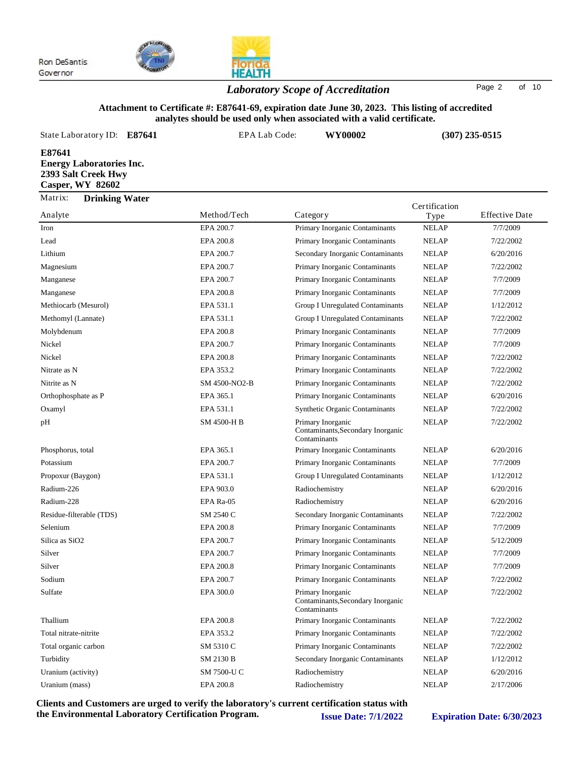

## *Laboratory Scope of Accreditation* Page <sup>2</sup> of <sup>10</sup>

#### **Attachment to Certificate #: E87641-69, expiration date June 30, 2023. This listing of accredited analytes should be used only when associated with a valid certificate.**

| analytes should be used only when associated with a valid certificate.                      |                      |                                                                        |               |                       |  |
|---------------------------------------------------------------------------------------------|----------------------|------------------------------------------------------------------------|---------------|-----------------------|--|
| State Laboratory ID:<br>E87641                                                              | <b>EPA Lab Code:</b> | WY00002                                                                |               | $(307)$ 235-0515      |  |
| E87641<br><b>Energy Laboratories Inc.</b><br>2393 Salt Creek Hwy<br><b>Casper, WY 82602</b> |                      |                                                                        |               |                       |  |
| Matrix:<br><b>Drinking Water</b>                                                            |                      |                                                                        | Certification |                       |  |
| Analyte                                                                                     | Method/Tech          | Category                                                               | Type          | <b>Effective Date</b> |  |
| Iron                                                                                        | EPA 200.7            | Primary Inorganic Contaminants                                         | <b>NELAP</b>  | 7/7/2009              |  |
| Lead                                                                                        | EPA 200.8            | Primary Inorganic Contaminants                                         | <b>NELAP</b>  | 7/22/2002             |  |
| Lithium                                                                                     | EPA 200.7            | Secondary Inorganic Contaminants                                       | <b>NELAP</b>  | 6/20/2016             |  |
| Magnesium                                                                                   | EPA 200.7            | Primary Inorganic Contaminants                                         | <b>NELAP</b>  | 7/22/2002             |  |
| Manganese                                                                                   | EPA 200.7            | Primary Inorganic Contaminants                                         | <b>NELAP</b>  | 7/7/2009              |  |
| Manganese                                                                                   | EPA 200.8            | Primary Inorganic Contaminants                                         | <b>NELAP</b>  | 7/7/2009              |  |
| Methiocarb (Mesurol)                                                                        | EPA 531.1            | Group I Unregulated Contaminants                                       | <b>NELAP</b>  | 1/12/2012             |  |
| Methomyl (Lannate)                                                                          | EPA 531.1            | Group I Unregulated Contaminants                                       | <b>NELAP</b>  | 7/22/2002             |  |
| Molybdenum                                                                                  | EPA 200.8            | Primary Inorganic Contaminants                                         | <b>NELAP</b>  | 7/7/2009              |  |
| Nickel                                                                                      | EPA 200.7            | Primary Inorganic Contaminants                                         | <b>NELAP</b>  | 7/7/2009              |  |
| Nickel                                                                                      | EPA 200.8            | Primary Inorganic Contaminants                                         | <b>NELAP</b>  | 7/22/2002             |  |
| Nitrate as N                                                                                | EPA 353.2            | Primary Inorganic Contaminants                                         | <b>NELAP</b>  | 7/22/2002             |  |
| Nitrite as N                                                                                | SM 4500-NO2-B        | Primary Inorganic Contaminants                                         | <b>NELAP</b>  | 7/22/2002             |  |
| Orthophosphate as P                                                                         | EPA 365.1            | Primary Inorganic Contaminants                                         | <b>NELAP</b>  | 6/20/2016             |  |
| Oxamyl                                                                                      | EPA 531.1            | <b>Synthetic Organic Contaminants</b>                                  | <b>NELAP</b>  | 7/22/2002             |  |
| pH                                                                                          | SM 4500-H B          | Primary Inorganic<br>Contaminants, Secondary Inorganic<br>Contaminants | <b>NELAP</b>  | 7/22/2002             |  |

Phosphorus, total **EPA 365.1** Primary Inorganic Contaminants NELAP 6/20/2016 Potassium **EPA 200.7** Primary Inorganic Contaminants NELAP 7/7/2009 Propoxur (Baygon) EPA 531.1 Group I Unregulated Contaminants NELAP 1/12/2012 Radium-226 **EPA 903.0** Radiochemistry NELAP 6/20/2016 Radium-228 **EPA Ra-05** Radiochemistry NELAP 6/20/2016 Residue-filterable (TDS) SM 2540 C Secondary Inorganic Contaminants NELAP 7/22/2002 Selenium EPA 200.8 Primary Inorganic Contaminants NELAP 7/7/2009

Silica as SiO2 **EPA 200.7** Primary Inorganic Contaminants NELAP 5/12/2009 Silver EPA 200.7 Primary Inorganic Contaminants NELAP 7/7/2009 Silver EPA 200.8 Primary Inorganic Contaminants NELAP 7/7/2009 Sodium EPA 200.7 Primary Inorganic Contaminants NELAP 7/22/2002 Primary Inorganic Sulfate EPA 300.0 NELAP 7/22/2002 Contaminants,Secondary Inorganic **Contaminants** Thallium EPA 200.8 Primary Inorganic Contaminants NELAP 7/22/2002 Total nitrate-nitrite EPA 353.2 Primary Inorganic Contaminants NELAP 7/22/2002 Total organic carbon SM 5310 C Primary Inorganic Contaminants NELAP 7/22/2002 Turbidity SM 2130 B Secondary Inorganic Contaminants NELAP 1/12/2012 Uranium (activity) SM 7500-U C Radiochemistry NELAP 6/20/2016 Uranium (mass) EPA 200.8 Radiochemistry NELAP 2/17/2006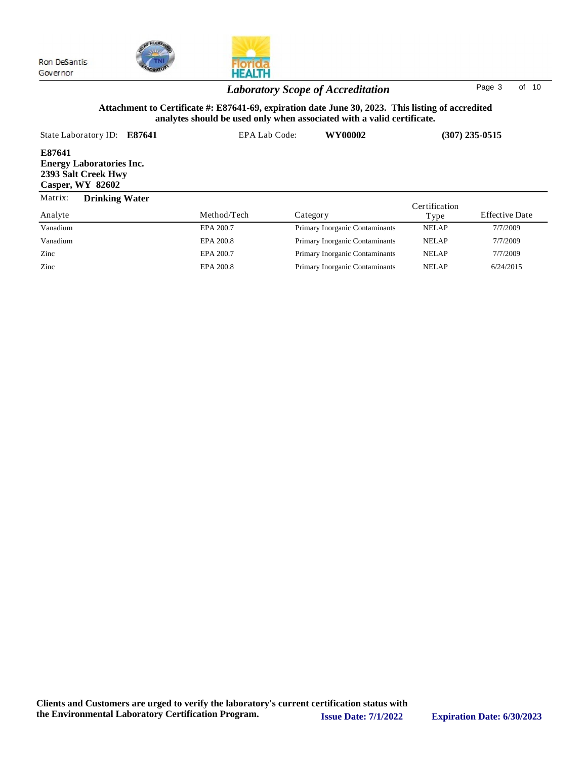



## *Laboratory Scope of Accreditation* Page <sup>3</sup> of <sup>10</sup>

#### **Attachment to Certificate #: E87641-69, expiration date June 30, 2023. This listing of accredited analytes should be used only when associated with a valid certificate.**

| State Laboratory ID:                                                                        | E87641 | EPA Lab Code: | WY00002                        |               | $(307)$ 235-0515      |
|---------------------------------------------------------------------------------------------|--------|---------------|--------------------------------|---------------|-----------------------|
| E87641<br><b>Energy Laboratories Inc.</b><br>2393 Salt Creek Hwy<br><b>Casper, WY 82602</b> |        |               |                                |               |                       |
| Matrix:<br><b>Drinking Water</b>                                                            |        |               |                                | Certification |                       |
| Analyte                                                                                     |        | Method/Tech   | Category                       | Type          | <b>Effective Date</b> |
| Vanadium                                                                                    |        | EPA 200.7     | Primary Inorganic Contaminants | <b>NELAP</b>  | 7/7/2009              |
| Vanadium                                                                                    |        | EPA 200.8     | Primary Inorganic Contaminants | <b>NELAP</b>  | 7/7/2009              |
| Zinc                                                                                        |        | EPA 200.7     | Primary Inorganic Contaminants | <b>NELAP</b>  | 7/7/2009              |
| Zinc                                                                                        |        | EPA 200.8     | Primary Inorganic Contaminants | <b>NELAP</b>  | 6/24/2015             |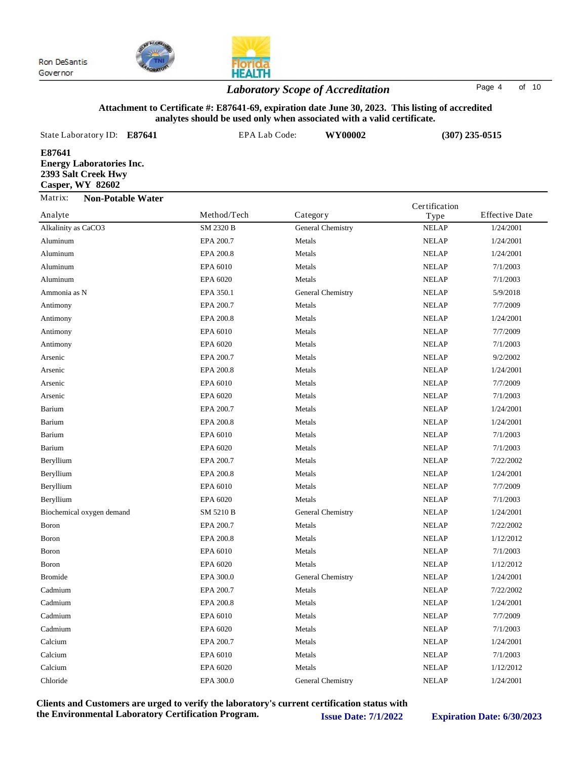



## *Laboratory Scope of Accreditation* Page <sup>4</sup> of <sup>10</sup>

#### **Attachment to Certificate #: E87641-69, expiration date June 30, 2023. This listing of accredited analytes should be used only when associated with a valid certificate.**

| analytes should be used only when associated with a valid certificate.               |                  |                   |               |                       |
|--------------------------------------------------------------------------------------|------------------|-------------------|---------------|-----------------------|
| State Laboratory ID:<br>E87641                                                       | EPA Lab Code:    | WY00002           |               | $(307)$ 235-0515      |
| E87641<br><b>Energy Laboratories Inc.</b><br>2393 Salt Creek Hwy<br>Casper, WY 82602 |                  |                   |               |                       |
| Matrix:<br><b>Non-Potable Water</b>                                                  |                  |                   | Certification |                       |
| Analyte                                                                              | Method/Tech      | Category          | Type          | <b>Effective Date</b> |
| Alkalinity as CaCO3                                                                  | <b>SM 2320 B</b> | General Chemistry | <b>NELAP</b>  | 1/24/2001             |
| Aluminum                                                                             | EPA 200.7        | Metals            | <b>NELAP</b>  | 1/24/2001             |
| Aluminum                                                                             | EPA 200.8        | Metals            | <b>NELAP</b>  | 1/24/2001             |
| Aluminum                                                                             | EPA 6010         | Metals            | <b>NELAP</b>  | 7/1/2003              |
| Aluminum                                                                             | EPA 6020         | Metals            | <b>NELAP</b>  | 7/1/2003              |
| Ammonia as N                                                                         | EPA 350.1        | General Chemistry | <b>NELAP</b>  | 5/9/2018              |
| Antimony                                                                             | EPA 200.7        | Metals            | <b>NELAP</b>  | 7/7/2009              |
| Antimony                                                                             | EPA 200.8        | Metals            | <b>NELAP</b>  | 1/24/2001             |
| Antimony                                                                             | EPA 6010         | Metals            | <b>NELAP</b>  | 7/7/2009              |
| Antimony                                                                             | EPA 6020         | Metals            | <b>NELAP</b>  | 7/1/2003              |
| Arsenic                                                                              | EPA 200.7        | Metals            | <b>NELAP</b>  | 9/2/2002              |
| Arsenic                                                                              | EPA 200.8        | Metals            | <b>NELAP</b>  | 1/24/2001             |
| Arsenic                                                                              | EPA 6010         | Metals            | <b>NELAP</b>  | 7/7/2009              |
| Arsenic                                                                              | EPA 6020         | Metals            | <b>NELAP</b>  | 7/1/2003              |
| Barium                                                                               | EPA 200.7        | Metals            | <b>NELAP</b>  | 1/24/2001             |
| Barium                                                                               | EPA 200.8        | Metals            | <b>NELAP</b>  | 1/24/2001             |
| Barium                                                                               | EPA 6010         | Metals            | <b>NELAP</b>  | 7/1/2003              |
| Barium                                                                               | EPA 6020         | Metals            | <b>NELAP</b>  | 7/1/2003              |
| Beryllium                                                                            | EPA 200.7        | Metals            | <b>NELAP</b>  | 7/22/2002             |
| Beryllium                                                                            | EPA 200.8        | Metals            | <b>NELAP</b>  | 1/24/2001             |
| Beryllium                                                                            | EPA 6010         | Metals            | <b>NELAP</b>  | 7/7/2009              |
| Beryllium                                                                            | EPA 6020         | Metals            | <b>NELAP</b>  | 7/1/2003              |
| Biochemical oxygen demand                                                            | SM 5210 B        | General Chemistry | <b>NELAP</b>  | 1/24/2001             |

Boron EPA 200.7 Metals NELAP 7/22/2002 Boron EPA 200.8 Metals NELAP 1/12/2012 Boron EPA 6010 Metals NELAP 7/1/2003 Boron EPA 6020 Metals NELAP 1/12/2012 Bromide EPA 300.0 General Chemistry NELAP 1/24/2001 Cadmium **EPA 200.7** Metals NELAP 7/22/2002 Cadmium **EPA 200.8** Metals NELAP 1/24/2001 Cadmium **EPA 6010** Metals NELAP 7/7/2009 Cadmium **EPA 6020** Metals NELAP 7/1/2003 Calcium EPA 200.7 Metals NELAP 1/24/2001 Calcium **EPA 6010** Metals NELAP 7/1/2003 Calcium **EPA 6020** Metals NELAP 1/12/2012 Chloride EPA 300.0 General Chemistry NELAP 1/24/2001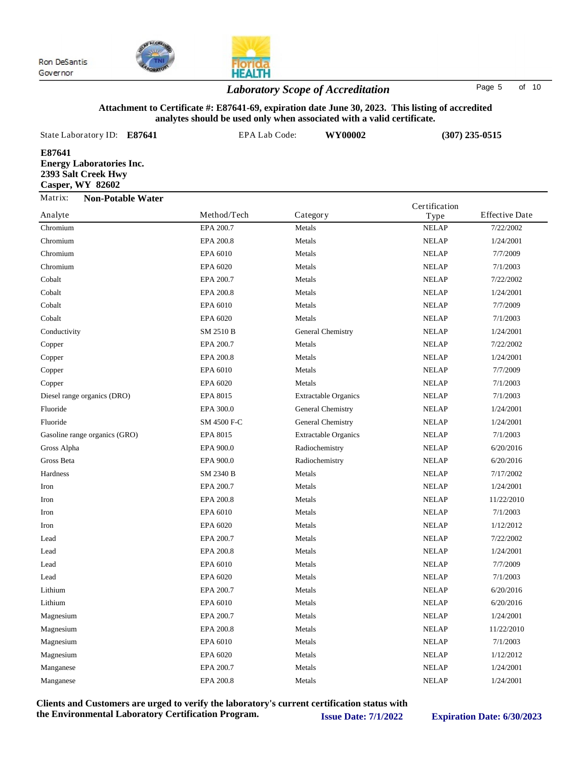



## *Laboratory Scope of Accreditation* Page <sup>5</sup> of <sup>10</sup>

#### **Attachment to Certificate #: E87641-69, expiration date June 30, 2023. This listing of accredited analytes should be used only when associated with a valid certificate.**

| $\frac{1}{2}$<br>"Then appointed "Then a Tana certificate"                           |               |                   |                       |                       |  |
|--------------------------------------------------------------------------------------|---------------|-------------------|-----------------------|-----------------------|--|
| State Laboratory ID:<br>E87641                                                       | EPA Lab Code: | WY00002           |                       | $(307)$ 235-0515      |  |
| E87641<br><b>Energy Laboratories Inc.</b><br>2393 Salt Creek Hwy<br>Casper, WY 82602 |               |                   |                       |                       |  |
| Matrix:<br><b>Non-Potable Water</b><br>Analyte                                       | Method/Tech   | Category          | Certification<br>Type | <b>Effective Date</b> |  |
| Chromium                                                                             | EPA 200.7     | Metals            | <b>NELAP</b>          | 7/22/2002             |  |
| Chromium                                                                             | EPA 200.8     | Metals            | <b>NELAP</b>          | 1/24/2001             |  |
| Chromium                                                                             | EPA 6010      | Metals            | <b>NELAP</b>          | 7/7/2009              |  |
| Chromium                                                                             | EPA 6020      | Metals            | <b>NELAP</b>          | 7/1/2003              |  |
| Cobalt                                                                               | EPA 200.7     | Metals            | <b>NELAP</b>          | 7/22/2002             |  |
| Cobalt                                                                               | EPA 200.8     | Metals            | <b>NELAP</b>          | 1/24/2001             |  |
| Cobalt                                                                               | EPA 6010      | Metals            | <b>NELAP</b>          | 7/7/2009              |  |
| Cobalt                                                                               | EPA 6020      | Metals            | <b>NELAP</b>          | 7/1/2003              |  |
| Conductivity                                                                         | SM 2510 B     | General Chemistry | <b>NELAP</b>          | 1/24/2001             |  |
| Copper                                                                               | EPA 200.7     | Metals            | <b>NELAP</b>          | 7/22/2002             |  |
| Copper                                                                               | EPA 200.8     | Metals            | <b>NELAP</b>          | 1/24/2001             |  |
|                                                                                      | ___           |                   |                       |                       |  |

| Conductivity                  | SM 2510 B   | General Chemistry           | <b>NELAP</b> | 1/24/2001  |
|-------------------------------|-------------|-----------------------------|--------------|------------|
| Copper                        | EPA 200.7   | Metals                      | <b>NELAP</b> | 7/22/2002  |
| Copper                        | EPA 200.8   | Metals                      | <b>NELAP</b> | 1/24/2001  |
| Copper                        | EPA 6010    | Metals                      | <b>NELAP</b> | 7/7/2009   |
| Copper                        | EPA 6020    | Metals                      | <b>NELAP</b> | 7/1/2003   |
| Diesel range organics (DRO)   | EPA 8015    | <b>Extractable Organics</b> | <b>NELAP</b> | 7/1/2003   |
| Fluoride                      | EPA 300.0   | General Chemistry           | <b>NELAP</b> | 1/24/2001  |
| Fluoride                      | SM 4500 F-C | General Chemistry           | <b>NELAP</b> | 1/24/2001  |
| Gasoline range organics (GRO) | EPA 8015    | <b>Extractable Organics</b> | <b>NELAP</b> | 7/1/2003   |
| Gross Alpha                   | EPA 900.0   | Radiochemistry              | <b>NELAP</b> | 6/20/2016  |
| Gross Beta                    | EPA 900.0   | Radiochemistry              | <b>NELAP</b> | 6/20/2016  |
| Hardness                      | SM 2340 B   | Metals                      | <b>NELAP</b> | 7/17/2002  |
| Iron                          | EPA 200.7   | Metals                      | <b>NELAP</b> | 1/24/2001  |
| Iron                          | EPA 200.8   | Metals                      | <b>NELAP</b> | 11/22/2010 |
| Iron                          | EPA 6010    | Metals                      | <b>NELAP</b> | 7/1/2003   |
| Iron                          | EPA 6020    | Metals                      | <b>NELAP</b> | 1/12/2012  |
| Lead                          | EPA 200.7   | Metals                      | <b>NELAP</b> | 7/22/2002  |
| Lead                          | EPA 200.8   | Metals                      | <b>NELAP</b> | 1/24/2001  |
| Lead                          | EPA 6010    | Metals                      | <b>NELAP</b> | 7/7/2009   |
| Lead                          | EPA 6020    | Metals                      | <b>NELAP</b> | 7/1/2003   |
| Lithium                       | EPA 200.7   | Metals                      | <b>NELAP</b> | 6/20/2016  |
| Lithium                       | EPA 6010    | Metals                      | <b>NELAP</b> | 6/20/2016  |
| Magnesium                     | EPA 200.7   | Metals                      | <b>NELAP</b> | 1/24/2001  |
| Magnesium                     | EPA 200.8   | Metals                      | <b>NELAP</b> | 11/22/2010 |
| Magnesium                     | EPA 6010    | Metals                      | <b>NELAP</b> | 7/1/2003   |
| Magnesium                     | EPA 6020    | Metals                      | <b>NELAP</b> | 1/12/2012  |
| Manganese                     | EPA 200.7   | Metals                      | <b>NELAP</b> | 1/24/2001  |
| Manganese                     | EPA 200.8   | Metals                      | <b>NELAP</b> | 1/24/2001  |
|                               |             |                             |              |            |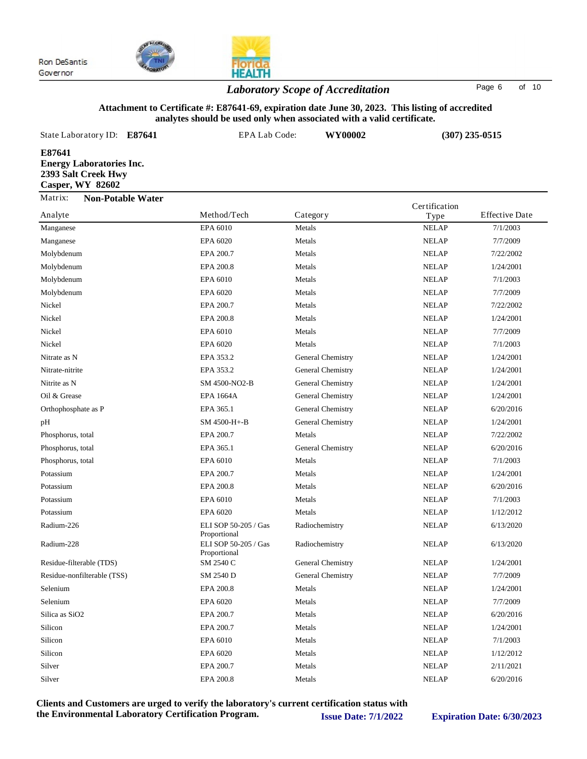



## *Laboratory Scope of Accreditation* Page <sup>6</sup> of <sup>10</sup>

#### **Attachment to Certificate #: E87641-69, expiration date June 30, 2023. This listing of accredited analytes should be used only when associated with a valid certificate.**

| State Laboratory ID: E87641                                                                 | EPA Lab Code: | WY00002  |               | $(307)$ 235-0515      |
|---------------------------------------------------------------------------------------------|---------------|----------|---------------|-----------------------|
| E87641<br><b>Energy Laboratories Inc.</b><br>2393 Salt Creek Hwy<br><b>Casper, WY 82602</b> |               |          |               |                       |
| Matrix:<br><b>Non-Potable Water</b>                                                         |               |          | Certification |                       |
| Analyte                                                                                     | Method/Tech   | Category | Type          | <b>Effective Date</b> |
| Manganese                                                                                   | EPA 6010      | Metals   | <b>NELAP</b>  | 7/1/2003              |
| - -                                                                                         |               | .        |               |                       |

| Manganese                   | EPA 6010                             | Metals            | <b>NELAP</b> | 7/1/2003  |
|-----------------------------|--------------------------------------|-------------------|--------------|-----------|
| Manganese                   | EPA 6020                             | Metals            | <b>NELAP</b> | 7/7/2009  |
| Molybdenum                  | EPA 200.7                            | Metals            | <b>NELAP</b> | 7/22/2002 |
| Molybdenum                  | EPA 200.8                            | Metals            | <b>NELAP</b> | 1/24/2001 |
| Molybdenum                  | EPA 6010                             | Metals            | <b>NELAP</b> | 7/1/2003  |
| Molybdenum                  | EPA 6020                             | Metals            | <b>NELAP</b> | 7/7/2009  |
| Nickel                      | EPA 200.7                            | Metals            | <b>NELAP</b> | 7/22/2002 |
| Nickel                      | EPA 200.8                            | Metals            | <b>NELAP</b> | 1/24/2001 |
| Nickel                      | EPA 6010                             | Metals            | <b>NELAP</b> | 7/7/2009  |
| Nickel                      | EPA 6020                             | Metals            | <b>NELAP</b> | 7/1/2003  |
| Nitrate as N                | EPA 353.2                            | General Chemistry | <b>NELAP</b> | 1/24/2001 |
| Nitrate-nitrite             | EPA 353.2                            | General Chemistry | <b>NELAP</b> | 1/24/2001 |
| Nitrite as N                | SM 4500-NO2-B                        | General Chemistry | <b>NELAP</b> | 1/24/2001 |
| Oil & Grease                | <b>EPA 1664A</b>                     | General Chemistry | <b>NELAP</b> | 1/24/2001 |
| Orthophosphate as P         | EPA 365.1                            | General Chemistry | <b>NELAP</b> | 6/20/2016 |
| pН                          | SM 4500-H+-B                         | General Chemistry | <b>NELAP</b> | 1/24/2001 |
| Phosphorus, total           | EPA 200.7                            | Metals            | <b>NELAP</b> | 7/22/2002 |
| Phosphorus, total           | EPA 365.1                            | General Chemistry | <b>NELAP</b> | 6/20/2016 |
| Phosphorus, total           | EPA 6010                             | Metals            | <b>NELAP</b> | 7/1/2003  |
| Potassium                   | EPA 200.7                            | Metals            | <b>NELAP</b> | 1/24/2001 |
| Potassium                   | EPA 200.8                            | Metals            | <b>NELAP</b> | 6/20/2016 |
| Potassium                   | EPA 6010                             | Metals            | <b>NELAP</b> | 7/1/2003  |
| Potassium                   | EPA 6020                             | Metals            | <b>NELAP</b> | 1/12/2012 |
| Radium-226                  | ELI SOP 50-205 / Gas<br>Proportional | Radiochemistry    | <b>NELAP</b> | 6/13/2020 |
| Radium-228                  | ELI SOP 50-205 / Gas<br>Proportional | Radiochemistry    | <b>NELAP</b> | 6/13/2020 |
| Residue-filterable (TDS)    | SM 2540 C                            | General Chemistry | <b>NELAP</b> | 1/24/2001 |
| Residue-nonfilterable (TSS) | SM 2540 D                            | General Chemistry | <b>NELAP</b> | 7/7/2009  |
| Selenium                    | EPA 200.8                            | Metals            | <b>NELAP</b> | 1/24/2001 |
| Selenium                    | EPA 6020                             | Metals            | <b>NELAP</b> | 7/7/2009  |
| Silica as SiO <sub>2</sub>  | EPA 200.7                            | Metals            | <b>NELAP</b> | 6/20/2016 |
| Silicon                     | EPA 200.7                            | Metals            | <b>NELAP</b> | 1/24/2001 |
| Silicon                     | EPA 6010                             | Metals            | <b>NELAP</b> | 7/1/2003  |
| Silicon                     | EPA 6020                             | Metals            | <b>NELAP</b> | 1/12/2012 |
| Silver                      | EPA 200.7                            | Metals            | <b>NELAP</b> | 2/11/2021 |
| Silver                      | EPA 200.8                            | Metals            | <b>NELAP</b> | 6/20/2016 |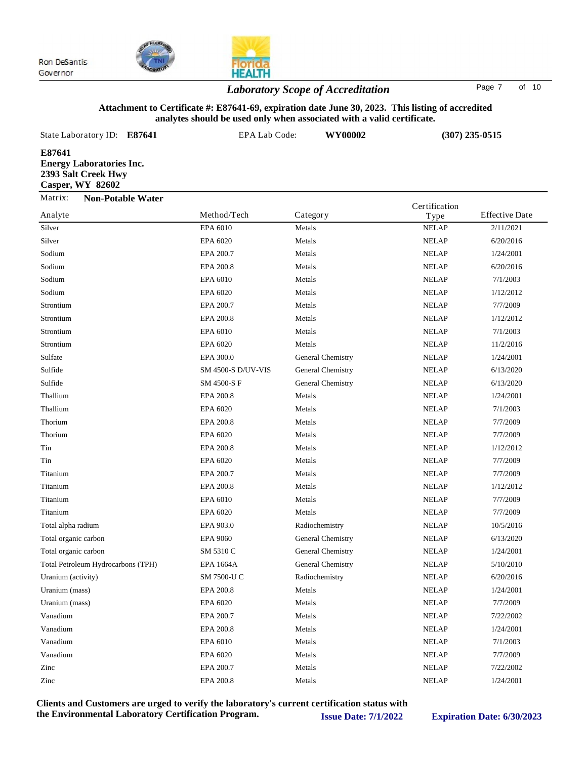



## *Laboratory Scope of Accreditation* Page <sup>7</sup> of <sup>10</sup>

#### **Attachment to Certificate #: E87641-69, expiration date June 30, 2023. This listing of accredited analytes should be used only when associated with a valid certificate.**

| State Laboratory ID:                                                                        | E87641                   | EPA Lab Code: |          | WY00002 |               | $(307)$ 235-0515      |
|---------------------------------------------------------------------------------------------|--------------------------|---------------|----------|---------|---------------|-----------------------|
| E87641<br><b>Energy Laboratories Inc.</b><br>2393 Salt Creek Hwy<br><b>Casper, WY 82602</b> |                          |               |          |         |               |                       |
| Matrix:                                                                                     | <b>Non-Potable Water</b> |               |          |         | Certification |                       |
| Analyte                                                                                     |                          | Method/Tech   | Category |         | Type          | <b>Effective Date</b> |
| Silver                                                                                      |                          | EPA 6010      | Metals   |         | <b>NELAP</b>  | 2/11/2021             |
| Silver                                                                                      |                          | EPA 6020      | Metals   |         | <b>NELAP</b>  | 6/20/2016             |
| Sodium                                                                                      |                          | EPA 200.7     | Metals   |         | <b>NELAP</b>  | 1/24/2001             |
| Sodium                                                                                      |                          | EPA 200.8     | Metals   |         | <b>NELAP</b>  | 6/20/2016             |
|                                                                                             |                          |               |          |         |               |                       |

| ບ⊔∨⊏ເ                              | LI A VVZV                 |                   | INDLAI       | 0/20/2010 |
|------------------------------------|---------------------------|-------------------|--------------|-----------|
| Sodium                             | EPA 200.7                 | Metals            | <b>NELAP</b> | 1/24/2001 |
| Sodium                             | EPA 200.8                 | Metals            | <b>NELAP</b> | 6/20/2016 |
| Sodium                             | EPA 6010                  | Metals            | <b>NELAP</b> | 7/1/2003  |
| Sodium                             | EPA 6020                  | Metals            | <b>NELAP</b> | 1/12/2012 |
| Strontium                          | EPA 200.7                 | Metals            | <b>NELAP</b> | 7/7/2009  |
| Strontium                          | EPA 200.8                 | Metals            | <b>NELAP</b> | 1/12/2012 |
| Strontium                          | EPA 6010                  | Metals            | <b>NELAP</b> | 7/1/2003  |
| Strontium                          | EPA 6020                  | Metals            | <b>NELAP</b> | 11/2/2016 |
| Sulfate                            | EPA 300.0                 | General Chemistry | <b>NELAP</b> | 1/24/2001 |
| Sulfide                            | <b>SM 4500-S D/UV-VIS</b> | General Chemistry | <b>NELAP</b> | 6/13/2020 |
| Sulfide                            | SM 4500-S F               | General Chemistry | <b>NELAP</b> | 6/13/2020 |
| Thallium                           | EPA 200.8                 | Metals            | <b>NELAP</b> | 1/24/2001 |
| Thallium                           | EPA 6020                  | Metals            | <b>NELAP</b> | 7/1/2003  |
| Thorium                            | EPA 200.8                 | Metals            | <b>NELAP</b> | 7/7/2009  |
| Thorium                            | EPA 6020                  | Metals            | <b>NELAP</b> | 7/7/2009  |
| Tin                                | EPA 200.8                 | Metals            | <b>NELAP</b> | 1/12/2012 |
| Tin                                | EPA 6020                  | Metals            | <b>NELAP</b> | 7/7/2009  |
| Titanium                           | EPA 200.7                 | Metals            | <b>NELAP</b> | 7/7/2009  |
| Titanium                           | EPA 200.8                 | Metals            | <b>NELAP</b> | 1/12/2012 |
| Titanium                           | EPA 6010                  | Metals            | <b>NELAP</b> | 7/7/2009  |
| Titanium                           | EPA 6020                  | Metals            | <b>NELAP</b> | 7/7/2009  |
| Total alpha radium                 | EPA 903.0                 | Radiochemistry    | <b>NELAP</b> | 10/5/2016 |
| Total organic carbon               | <b>EPA 9060</b>           | General Chemistry | <b>NELAP</b> | 6/13/2020 |
| Total organic carbon               | SM 5310 C                 | General Chemistry | <b>NELAP</b> | 1/24/2001 |
| Total Petroleum Hydrocarbons (TPH) | <b>EPA 1664A</b>          | General Chemistry | <b>NELAP</b> | 5/10/2010 |
| Uranium (activity)                 | SM 7500-U C               | Radiochemistry    | <b>NELAP</b> | 6/20/2016 |
| Uranium (mass)                     | EPA 200.8                 | Metals            | <b>NELAP</b> | 1/24/2001 |
| Uranium (mass)                     | EPA 6020                  | Metals            | <b>NELAP</b> | 7/7/2009  |
| Vanadium                           | EPA 200.7                 | Metals            | <b>NELAP</b> | 7/22/2002 |
| Vanadium                           | EPA 200.8                 | Metals            | <b>NELAP</b> | 1/24/2001 |
| Vanadium                           | EPA 6010                  | Metals            | <b>NELAP</b> | 7/1/2003  |
| Vanadium                           | EPA 6020                  | Metals            | <b>NELAP</b> | 7/7/2009  |
| Zinc                               | EPA 200.7                 | Metals            | <b>NELAP</b> | 7/22/2002 |
| Zinc                               | EPA 200.8                 | Metals            | <b>NELAP</b> | 1/24/2001 |
|                                    |                           |                   |              |           |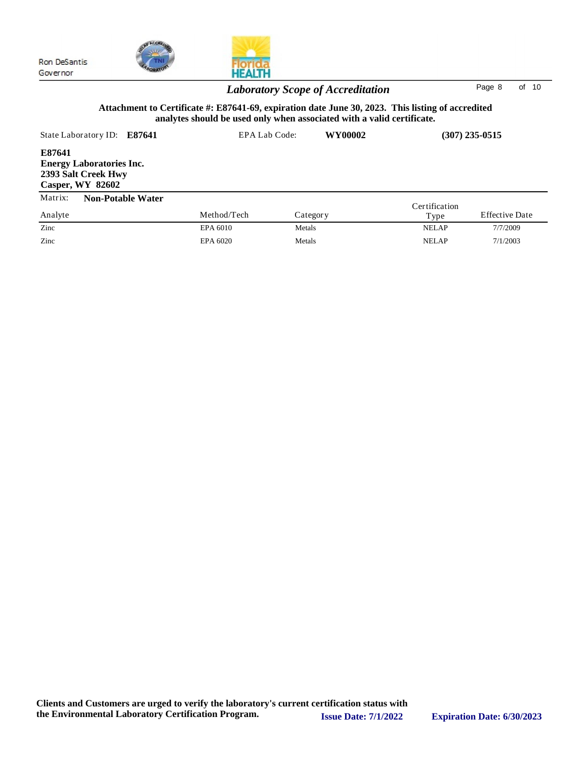**Casper, WY 82602**



| Н |
|---|

### State Laboratory ID: **E87641** EPA Lab Code: **WY00002 E87641 Energy Laboratories Inc. 2393 Salt Creek Hwy (307) 235-0515 Attachment to Certificate #: E87641-69, expiration date June 30, 2023. This listing of accredited analytes should be used only when associated with a valid certificate.** *Laboratory Scope of Accreditation* Page <sup>8</sup> of <sup>10</sup>

| Matrix: | <b>Non-Potable Water</b> |             |          |                       |                       |  |
|---------|--------------------------|-------------|----------|-----------------------|-----------------------|--|
| Analyte |                          | Method/Tech | Category | Certification<br>Type | <b>Effective Date</b> |  |
| Zinc    |                          | EPA 6010    | Metals   | <b>NELAP</b>          | 7/7/2009              |  |
| Zinc    |                          | EPA 6020    | Metals   | <b>NELAP</b>          | 7/1/2003              |  |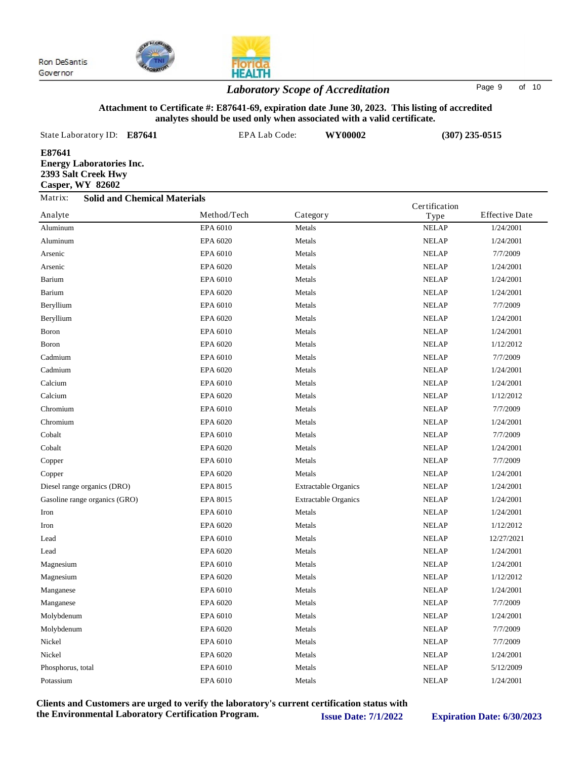

*Laboratory Scope of Accreditation* Page <sup>9</sup> of <sup>10</sup>

### **Attachment to Certificate #: E87641-69, expiration date June 30, 2023. This listing of accredited analytes should be used only when associated with a valid certificate.**

| State Laboratory ID:                                                                        | E87641                              | EPA Lab Code: | WY00002  | $(307)$ 235-0515 |                       |  |
|---------------------------------------------------------------------------------------------|-------------------------------------|---------------|----------|------------------|-----------------------|--|
| E87641<br><b>Energy Laboratories Inc.</b><br>2393 Salt Creek Hwy<br><b>Casper, WY 82602</b> |                                     |               |          |                  |                       |  |
| Matrix:                                                                                     | <b>Solid and Chemical Materials</b> |               |          | Certification    |                       |  |
| Analyte                                                                                     |                                     | Method/Tech   | Category | Type             | <b>Effective Date</b> |  |
| Aluminum                                                                                    |                                     | EPA 6010      | Metals   | <b>NELAP</b>     | 1/24/2001             |  |
| Aluminum                                                                                    |                                     | EPA 6020      | Metals   | <b>NELAP</b>     | 1/24/2001             |  |
| Arsenic                                                                                     |                                     | EPA 6010      | Metals   | <b>NELAP</b>     | 7/7/2009              |  |
| Arsenic                                                                                     |                                     | EPA 6020      | Metals   | <b>NELAP</b>     | 1/24/2001             |  |

| Arsenic                       | EPA 6010 | Metals                      | <b>NELAP</b> | 7/7/2009   |
|-------------------------------|----------|-----------------------------|--------------|------------|
| Arsenic                       | EPA 6020 | Metals                      | <b>NELAP</b> | 1/24/2001  |
| Barium                        | EPA 6010 | Metals                      | <b>NELAP</b> | 1/24/2001  |
| Barium                        | EPA 6020 | Metals                      | <b>NELAP</b> | 1/24/2001  |
| Beryllium                     | EPA 6010 | Metals                      | <b>NELAP</b> | 7/7/2009   |
| Beryllium                     | EPA 6020 | Metals                      | <b>NELAP</b> | 1/24/2001  |
| Boron                         | EPA 6010 | Metals                      | <b>NELAP</b> | 1/24/2001  |
| Boron                         | EPA 6020 | Metals                      | <b>NELAP</b> | 1/12/2012  |
| Cadmium                       | EPA 6010 | Metals                      | <b>NELAP</b> | 7/7/2009   |
| Cadmium                       | EPA 6020 | Metals                      | <b>NELAP</b> | 1/24/2001  |
| Calcium                       | EPA 6010 | Metals                      | <b>NELAP</b> | 1/24/2001  |
| Calcium                       | EPA 6020 | Metals                      | <b>NELAP</b> | 1/12/2012  |
| Chromium                      | EPA 6010 | Metals                      | <b>NELAP</b> | 7/7/2009   |
| Chromium                      | EPA 6020 | Metals                      | <b>NELAP</b> | 1/24/2001  |
| Cobalt                        | EPA 6010 | Metals                      | <b>NELAP</b> | 7/7/2009   |
| Cobalt                        | EPA 6020 | Metals                      | <b>NELAP</b> | 1/24/2001  |
| Copper                        | EPA 6010 | Metals                      | <b>NELAP</b> | 7/7/2009   |
| Copper                        | EPA 6020 | Metals                      | <b>NELAP</b> | 1/24/2001  |
| Diesel range organics (DRO)   | EPA 8015 | <b>Extractable Organics</b> | <b>NELAP</b> | 1/24/2001  |
| Gasoline range organics (GRO) | EPA 8015 | <b>Extractable Organics</b> | <b>NELAP</b> | 1/24/2001  |
| Iron                          | EPA 6010 | Metals                      | <b>NELAP</b> | 1/24/2001  |
| Iron                          | EPA 6020 | Metals                      | <b>NELAP</b> | 1/12/2012  |
| Lead                          | EPA 6010 | Metals                      | <b>NELAP</b> | 12/27/2021 |
| Lead                          | EPA 6020 | Metals                      | <b>NELAP</b> | 1/24/2001  |
| Magnesium                     | EPA 6010 | Metals                      | <b>NELAP</b> | 1/24/2001  |
| Magnesium                     | EPA 6020 | Metals                      | <b>NELAP</b> | 1/12/2012  |
| Manganese                     | EPA 6010 | Metals                      | <b>NELAP</b> | 1/24/2001  |
| Manganese                     | EPA 6020 | Metals                      | <b>NELAP</b> | 7/7/2009   |
| Molybdenum                    | EPA 6010 | Metals                      | <b>NELAP</b> | 1/24/2001  |
| Molybdenum                    | EPA 6020 | Metals                      | <b>NELAP</b> | 7/7/2009   |
| Nickel                        | EPA 6010 | Metals                      | <b>NELAP</b> | 7/7/2009   |
| Nickel                        | EPA 6020 | Metals                      | <b>NELAP</b> | 1/24/2001  |
| Phosphorus, total             | EPA 6010 | Metals                      | <b>NELAP</b> | 5/12/2009  |
| Potassium                     | EPA 6010 | Metals                      | <b>NELAP</b> | 1/24/2001  |
|                               |          |                             |              |            |